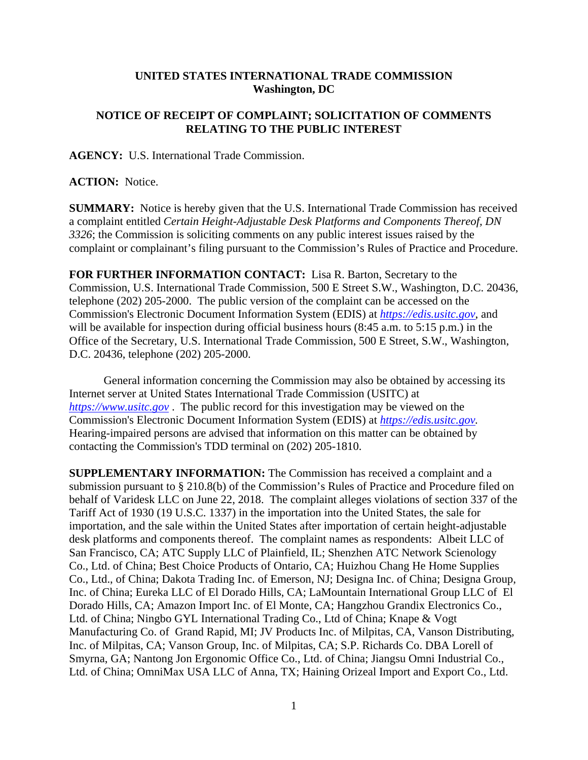## **UNITED STATES INTERNATIONAL TRADE COMMISSION Washington, DC**

## **NOTICE OF RECEIPT OF COMPLAINT; SOLICITATION OF COMMENTS RELATING TO THE PUBLIC INTEREST**

**AGENCY:** U.S. International Trade Commission.

**ACTION:** Notice.

**SUMMARY:** Notice is hereby given that the U.S. International Trade Commission has received a complaint entitled *Certain Height-Adjustable Desk Platforms and Components Thereof, DN 3326*; the Commission is soliciting comments on any public interest issues raised by the complaint or complainant's filing pursuant to the Commission's Rules of Practice and Procedure.

**FOR FURTHER INFORMATION CONTACT:** Lisa R. Barton, Secretary to the Commission, U.S. International Trade Commission, 500 E Street S.W., Washington, D.C. 20436, telephone (202) 205-2000. The public version of the complaint can be accessed on the Commission's Electronic Document Information System (EDIS) at *https://edis.usitc.gov*, and will be available for inspection during official business hours (8:45 a.m. to 5:15 p.m.) in the Office of the Secretary, U.S. International Trade Commission, 500 E Street, S.W., Washington, D.C. 20436, telephone (202) 205-2000.

General information concerning the Commission may also be obtained by accessing its Internet server at United States International Trade Commission (USITC) at *https://www.usitc.gov* . The public record for this investigation may be viewed on the Commission's Electronic Document Information System (EDIS) at *https://edis.usitc.gov.* Hearing-impaired persons are advised that information on this matter can be obtained by contacting the Commission's TDD terminal on (202) 205-1810.

**SUPPLEMENTARY INFORMATION:** The Commission has received a complaint and a submission pursuant to § 210.8(b) of the Commission's Rules of Practice and Procedure filed on behalf of Varidesk LLC on June 22, 2018. The complaint alleges violations of section 337 of the Tariff Act of 1930 (19 U.S.C. 1337) in the importation into the United States, the sale for importation, and the sale within the United States after importation of certain height-adjustable desk platforms and components thereof. The complaint names as respondents: Albeit LLC of San Francisco, CA; ATC Supply LLC of Plainfield, IL; Shenzhen ATC Network Scienology Co., Ltd. of China; Best Choice Products of Ontario, CA; Huizhou Chang He Home Supplies Co., Ltd., of China; Dakota Trading Inc. of Emerson, NJ; Designa Inc. of China; Designa Group, Inc. of China; Eureka LLC of El Dorado Hills, CA; LaMountain International Group LLC of El Dorado Hills, CA; Amazon Import Inc. of El Monte, CA; Hangzhou Grandix Electronics Co., Ltd. of China; Ningbo GYL International Trading Co., Ltd of China; Knape & Vogt Manufacturing Co. of Grand Rapid, MI; JV Products Inc. of Milpitas, CA, Vanson Distributing, Inc. of Milpitas, CA; Vanson Group, Inc. of Milpitas, CA; S.P. Richards Co. DBA Lorell of Smyrna, GA; Nantong Jon Ergonomic Office Co., Ltd. of China; Jiangsu Omni Industrial Co., Ltd. of China; OmniMax USA LLC of Anna, TX; Haining Orizeal Import and Export Co., Ltd.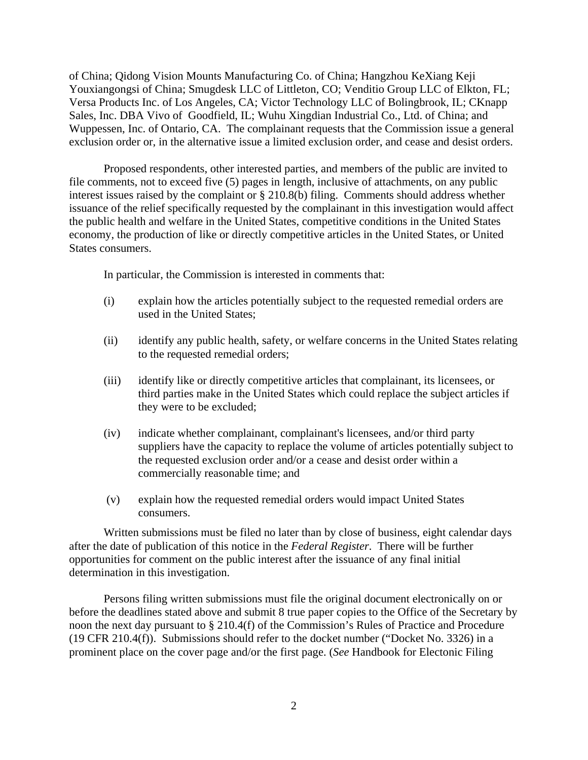of China; Qidong Vision Mounts Manufacturing Co. of China; Hangzhou KeXiang Keji Youxiangongsi of China; Smugdesk LLC of Littleton, CO; Venditio Group LLC of Elkton, FL; Versa Products Inc. of Los Angeles, CA; Victor Technology LLC of Bolingbrook, IL; CKnapp Sales, Inc. DBA Vivo of Goodfield, IL; Wuhu Xingdian Industrial Co., Ltd. of China; and Wuppessen, Inc. of Ontario, CA. The complainant requests that the Commission issue a general exclusion order or, in the alternative issue a limited exclusion order, and cease and desist orders.

Proposed respondents, other interested parties, and members of the public are invited to file comments, not to exceed five (5) pages in length, inclusive of attachments, on any public interest issues raised by the complaint or § 210.8(b) filing. Comments should address whether issuance of the relief specifically requested by the complainant in this investigation would affect the public health and welfare in the United States, competitive conditions in the United States economy, the production of like or directly competitive articles in the United States, or United States consumers.

In particular, the Commission is interested in comments that:

- (i) explain how the articles potentially subject to the requested remedial orders are used in the United States;
- (ii) identify any public health, safety, or welfare concerns in the United States relating to the requested remedial orders;
- (iii) identify like or directly competitive articles that complainant, its licensees, or third parties make in the United States which could replace the subject articles if they were to be excluded;
- (iv) indicate whether complainant, complainant's licensees, and/or third party suppliers have the capacity to replace the volume of articles potentially subject to the requested exclusion order and/or a cease and desist order within a commercially reasonable time; and
- (v) explain how the requested remedial orders would impact United States consumers.

Written submissions must be filed no later than by close of business, eight calendar days after the date of publication of this notice in the *Federal Register*. There will be further opportunities for comment on the public interest after the issuance of any final initial determination in this investigation.

Persons filing written submissions must file the original document electronically on or before the deadlines stated above and submit 8 true paper copies to the Office of the Secretary by noon the next day pursuant to § 210.4(f) of the Commission's Rules of Practice and Procedure (19 CFR 210.4(f)). Submissions should refer to the docket number ("Docket No. 3326) in a prominent place on the cover page and/or the first page. (*See* Handbook for Electonic Filing